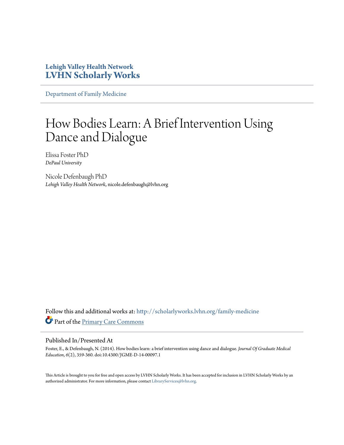# **Lehigh Valley Health Network [LVHN Scholarly Works](http://scholarlyworks.lvhn.org?utm_source=scholarlyworks.lvhn.org%2Ffamily-medicine%2F147&utm_medium=PDF&utm_campaign=PDFCoverPages)**

[Department of Family Medicine](http://scholarlyworks.lvhn.org/family-medicine?utm_source=scholarlyworks.lvhn.org%2Ffamily-medicine%2F147&utm_medium=PDF&utm_campaign=PDFCoverPages)

# How Bodies Learn: A Brief Intervention Using Dance and Dialogue

Elissa Foster PhD *DePaul University*

Nicole Defenbaugh PhD *Lehigh Valley Health Network*, nicole.defenbaugh@lvhn.org

Follow this and additional works at: [http://scholarlyworks.lvhn.org/family-medicine](http://scholarlyworks.lvhn.org/family-medicine?utm_source=scholarlyworks.lvhn.org%2Ffamily-medicine%2F147&utm_medium=PDF&utm_campaign=PDFCoverPages) Part of the [Primary Care Commons](http://network.bepress.com/hgg/discipline/1092?utm_source=scholarlyworks.lvhn.org%2Ffamily-medicine%2F147&utm_medium=PDF&utm_campaign=PDFCoverPages)

### Published In/Presented At

Foster, E., & Defenbaugh, N. (2014). How bodies learn: a brief intervention using dance and dialogue. *Journal Of Graduate Medical Education*, *6*(2), 359-360. doi:10.4300/JGME-D-14-00097.1

This Article is brought to you for free and open access by LVHN Scholarly Works. It has been accepted for inclusion in LVHN Scholarly Works by an authorized administrator. For more information, please contact [LibraryServices@lvhn.org.](mailto:LibraryServices@lvhn.org)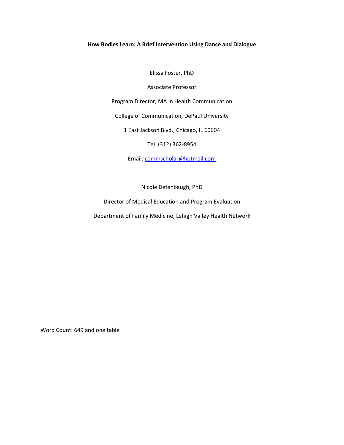## How Bodies Learn: A Brief Intervention Using Dance and Dialogue

Elissa Foster, PhD

Associate Professor

Program Director, MA in Health Communication

College of Communication, DePaul University

1 East Jackson Blvd., Chicago, IL 60604

Tel. (312) 362-8954

Email: commscholar@hotmail.com

Nicole Defenbaugh, PhD

Director of Medical Education and Program Evaluation

Department of Family Medicine, Lehigh Valley Health Network

Word Count: 649 and one table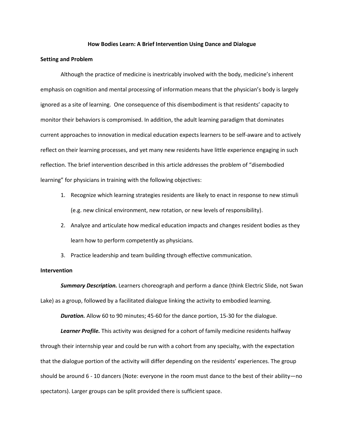#### How Bodies Learn: A Brief Intervention Using Dance and Dialogue

#### Setting and Problem

Although the practice of medicine is inextricably involved with the body, medicine's inherent emphasis on cognition and mental processing of information means that the physician's body is largely ignored as a site of learning. One consequence of this disembodiment is that residents' capacity to monitor their behaviors is compromised. In addition, the adult learning paradigm that dominates current approaches to innovation in medical education expects learners to be self-aware and to actively reflect on their learning processes, and yet many new residents have little experience engaging in such reflection. The brief intervention described in this article addresses the problem of "disembodied learning" for physicians in training with the following objectives:

- 1. Recognize which learning strategies residents are likely to enact in response to new stimuli (e.g. new clinical environment, new rotation, or new levels of responsibility).
- 2. Analyze and articulate how medical education impacts and changes resident bodies as they learn how to perform competently as physicians.
- 3. Practice leadership and team building through effective communication.

#### Intervention

**Summary Description.** Learners choreograph and perform a dance (think Electric Slide, not Swan Lake) as a group, followed by a facilitated dialogue linking the activity to embodied learning.

**Duration.** Allow 60 to 90 minutes; 45-60 for the dance portion, 15-30 for the dialogue.

Learner Profile. This activity was designed for a cohort of family medicine residents halfway through their internship year and could be run with a cohort from any specialty, with the expectation that the dialogue portion of the activity will differ depending on the residents' experiences. The group should be around 6 - 10 dancers (Note: everyone in the room must dance to the best of their ability—no spectators). Larger groups can be split provided there is sufficient space.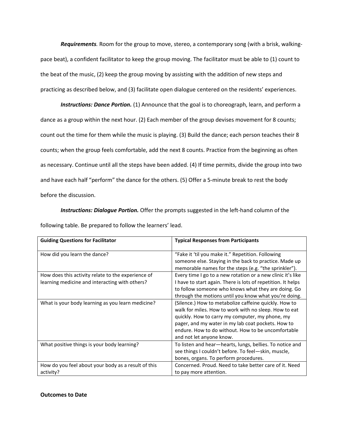Requirements. Room for the group to move, stereo, a contemporary song (with a brisk, walkingpace beat), a confident facilitator to keep the group moving. The facilitator must be able to (1) count to the beat of the music, (2) keep the group moving by assisting with the addition of new steps and practicing as described below, and (3) facilitate open dialogue centered on the residents' experiences.

Instructions: Dance Portion. (1) Announce that the goal is to choreograph, learn, and perform a dance as a group within the next hour. (2) Each member of the group devises movement for 8 counts; count out the time for them while the music is playing. (3) Build the dance; each person teaches their 8 counts; when the group feels comfortable, add the next 8 counts. Practice from the beginning as often as necessary. Continue until all the steps have been added. (4) If time permits, divide the group into two and have each half "perform" the dance for the others. (5) Offer a 5-minute break to rest the body before the discussion.

**Instructions: Dialogue Portion.** Offer the prompts suggested in the left-hand column of the following table. Be prepared to follow the learners' lead.

| <b>Guiding Questions for Facilitator</b>            | <b>Typical Responses from Participants</b>                                                                      |
|-----------------------------------------------------|-----------------------------------------------------------------------------------------------------------------|
| How did you learn the dance?                        | "Fake it 'til you make it." Repetition. Following                                                               |
|                                                     | someone else. Staying in the back to practice. Made up<br>memorable names for the steps (e.g. "the sprinkler"). |
| How does this activity relate to the experience of  | Every time I go to a new rotation or a new clinic it's like                                                     |
| learning medicine and interacting with others?      | I have to start again. There is lots of repetition. It helps                                                    |
|                                                     | to follow someone who knows what they are doing. Go                                                             |
|                                                     | through the motions until you know what you're doing.                                                           |
| What is your body learning as you learn medicine?   | (Silence.) How to metabolize caffeine quickly. How to                                                           |
|                                                     | walk for miles. How to work with no sleep. How to eat                                                           |
|                                                     | quickly. How to carry my computer, my phone, my                                                                 |
|                                                     | pager, and my water in my lab coat pockets. How to                                                              |
|                                                     | endure. How to do without. How to be uncomfortable                                                              |
|                                                     | and not let anyone know.                                                                                        |
| What positive things is your body learning?         | To listen and hear-hearts, lungs, bellies. To notice and                                                        |
|                                                     | see things I couldn't before. To feel-skin, muscle,                                                             |
|                                                     | bones, organs. To perform procedures.                                                                           |
| How do you feel about your body as a result of this | Concerned. Proud. Need to take better care of it. Need                                                          |
| activity?                                           | to pay more attention.                                                                                          |